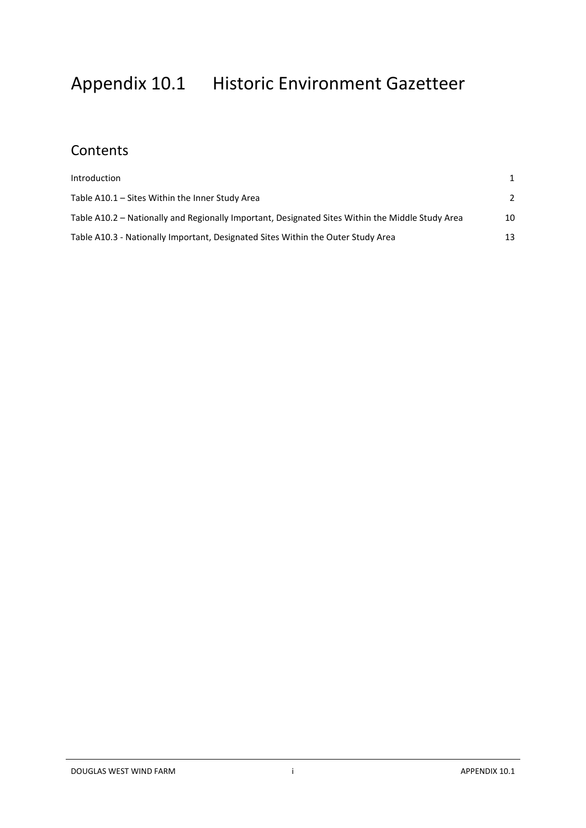# Appendix 10.1 Historic Environment Gazetteer

## **Contents**

| Introduction                                                                                     |               |
|--------------------------------------------------------------------------------------------------|---------------|
| Table A10.1 - Sites Within the Inner Study Area                                                  | $\mathcal{L}$ |
| Table A10.2 – Nationally and Regionally Important, Designated Sites Within the Middle Study Area | 10            |
| Table A10.3 - Nationally Important, Designated Sites Within the Outer Study Area                 | 13            |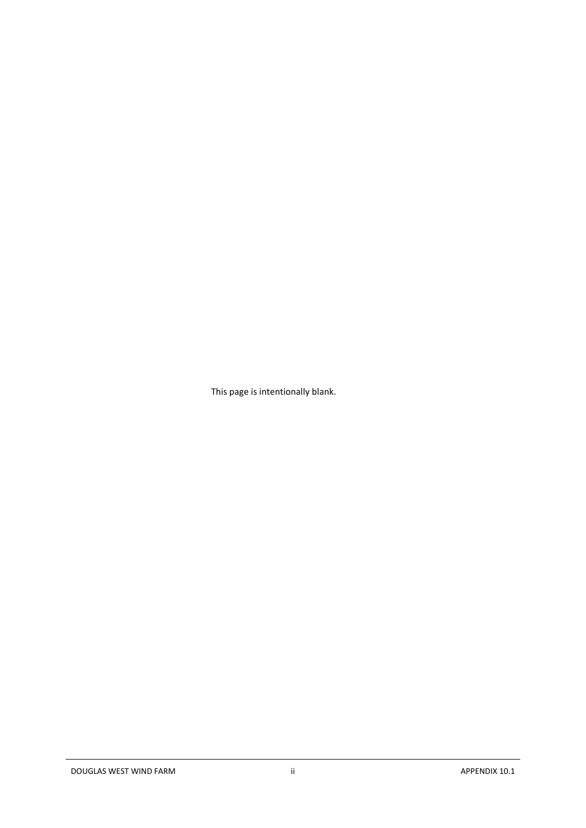This page is intentionally blank.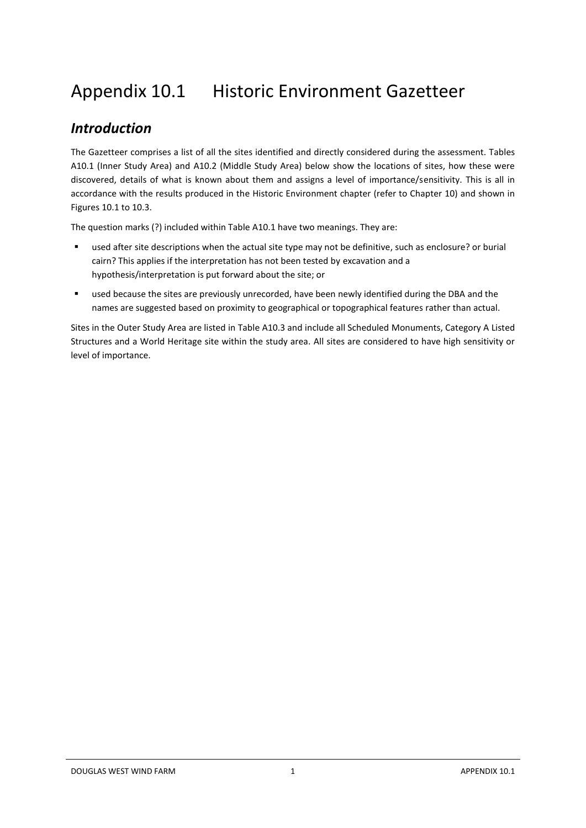## Appendix 10.1 Historic Environment Gazetteer

### <span id="page-2-0"></span>*Introduction*

The Gazetteer comprises a list of all the sites identified and directly considered during the assessment. Tables A10.1 (Inner Study Area) and A10.2 (Middle Study Area) below show the locations of sites, how these were discovered, details of what is known about them and assigns a level of importance/sensitivity. This is all in accordance with the results produced in the Historic Environment chapter (refer to Chapter 10) and shown in Figures 10.1 to 10.3.

The question marks (?) included within Table A10.1 have two meanings. They are:

- used after site descriptions when the actual site type may not be definitive, such as enclosure? or burial cairn? This applies if the interpretation has not been tested by excavation and a hypothesis/interpretation is put forward about the site; or
- used because the sites are previously unrecorded, have been newly identified during the DBA and the names are suggested based on proximity to geographical or topographical features rather than actual.

Sites in the Outer Study Area are listed in Table A10.3 and include all Scheduled Monuments, Category A Listed Structures and a World Heritage site within the study area. All sites are considered to have high sensitivity or level of importance.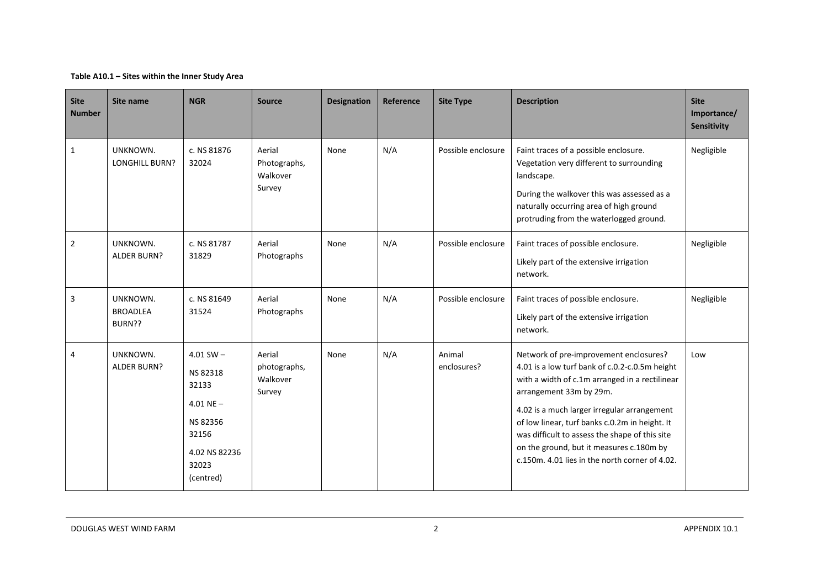#### **Table A10.1 – Sites within the Inner Study Area**

| <b>Site</b><br><b>Number</b> | Site name                             | <b>NGR</b>                                                                                                      | <b>Source</b>                                | <b>Designation</b> | Reference | <b>Site Type</b>      | <b>Description</b>                                                                                                                                                                                                                                                                                                                                                                                                     | <b>Site</b><br>Importance/<br>Sensitivity |
|------------------------------|---------------------------------------|-----------------------------------------------------------------------------------------------------------------|----------------------------------------------|--------------------|-----------|-----------------------|------------------------------------------------------------------------------------------------------------------------------------------------------------------------------------------------------------------------------------------------------------------------------------------------------------------------------------------------------------------------------------------------------------------------|-------------------------------------------|
| 1                            | UNKNOWN.<br><b>LONGHILL BURN?</b>     | c. NS 81876<br>32024                                                                                            | Aerial<br>Photographs,<br>Walkover<br>Survey | None               | N/A       | Possible enclosure    | Faint traces of a possible enclosure.<br>Vegetation very different to surrounding<br>landscape.<br>During the walkover this was assessed as a<br>naturally occurring area of high ground<br>protruding from the waterlogged ground.                                                                                                                                                                                    | Negligible                                |
| $\overline{2}$               | UNKNOWN.<br><b>ALDER BURN?</b>        | c. NS 81787<br>31829                                                                                            | Aerial<br>Photographs                        | <b>None</b>        | N/A       | Possible enclosure    | Faint traces of possible enclosure.<br>Likely part of the extensive irrigation<br>network.                                                                                                                                                                                                                                                                                                                             | Negligible                                |
| 3                            | UNKNOWN.<br><b>BROADLEA</b><br>BURN?? | c. NS 81649<br>31524                                                                                            | Aerial<br>Photographs                        | None               | N/A       | Possible enclosure    | Faint traces of possible enclosure.<br>Likely part of the extensive irrigation<br>network.                                                                                                                                                                                                                                                                                                                             | Negligible                                |
| 4                            | UNKNOWN.<br><b>ALDER BURN?</b>        | $4.01$ SW $-$<br>NS 82318<br>32133<br>$4.01$ NE $-$<br>NS 82356<br>32156<br>4.02 NS 82236<br>32023<br>(centred) | Aerial<br>photographs,<br>Walkover<br>Survey | None               | N/A       | Animal<br>enclosures? | Network of pre-improvement enclosures?<br>4.01 is a low turf bank of c.0.2-c.0.5m height<br>with a width of c.1m arranged in a rectilinear<br>arrangement 33m by 29m.<br>4.02 is a much larger irregular arrangement<br>of low linear, turf banks c.0.2m in height. It<br>was difficult to assess the shape of this site<br>on the ground, but it measures c.180m by<br>c.150m. 4.01 lies in the north corner of 4.02. | Low                                       |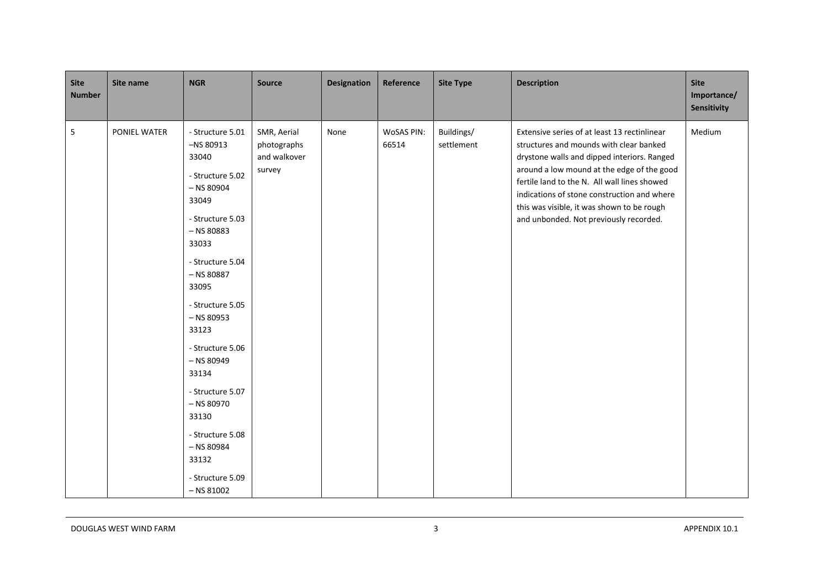| <b>Site</b><br><b>Number</b> | <b>Site name</b> | <b>NGR</b>                                                                                                                                                                                                                                                                                                                                                                                              | Source                                               | <b>Designation</b> | Reference                  | <b>Site Type</b>         | <b>Description</b>                                                                                                                                                                                                                                                                                                                                                          | <b>Site</b><br>Importance/<br>Sensitivity |
|------------------------------|------------------|---------------------------------------------------------------------------------------------------------------------------------------------------------------------------------------------------------------------------------------------------------------------------------------------------------------------------------------------------------------------------------------------------------|------------------------------------------------------|--------------------|----------------------------|--------------------------|-----------------------------------------------------------------------------------------------------------------------------------------------------------------------------------------------------------------------------------------------------------------------------------------------------------------------------------------------------------------------------|-------------------------------------------|
| $\overline{5}$               | PONIEL WATER     | - Structure 5.01<br>$-NS$ 80913<br>33040<br>- Structure 5.02<br>$-$ NS 80904<br>33049<br>- Structure 5.03<br>$-$ NS 80883<br>33033<br>- Structure 5.04<br>$-$ NS 80887<br>33095<br>- Structure 5.05<br>$-$ NS 80953<br>33123<br>- Structure 5.06<br>$-$ NS 80949<br>33134<br>- Structure 5.07<br>$-$ NS 80970<br>33130<br>- Structure 5.08<br>$-$ NS 80984<br>33132<br>- Structure 5.09<br>$-$ NS 81002 | SMR, Aerial<br>photographs<br>and walkover<br>survey | None               | <b>WOSAS PIN:</b><br>66514 | Buildings/<br>settlement | Extensive series of at least 13 rectinlinear<br>structures and mounds with clear banked<br>drystone walls and dipped interiors. Ranged<br>around a low mound at the edge of the good<br>fertile land to the N. All wall lines showed<br>indications of stone construction and where<br>this was visible, it was shown to be rough<br>and unbonded. Not previously recorded. | Medium                                    |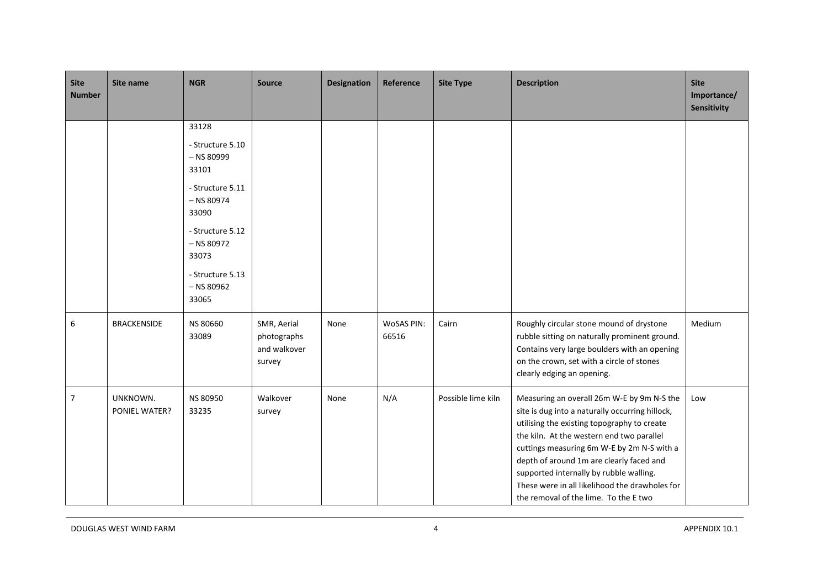| Site<br><b>Number</b> | Site name                        | <b>NGR</b>                                | <b>Source</b>                                        | <b>Designation</b> | Reference                  | <b>Site Type</b>   | <b>Description</b>                                                                                                                                                                                                                                                                                                                                                                                                        | <b>Site</b><br>Importance/<br>Sensitivity |
|-----------------------|----------------------------------|-------------------------------------------|------------------------------------------------------|--------------------|----------------------------|--------------------|---------------------------------------------------------------------------------------------------------------------------------------------------------------------------------------------------------------------------------------------------------------------------------------------------------------------------------------------------------------------------------------------------------------------------|-------------------------------------------|
|                       |                                  | 33128                                     |                                                      |                    |                            |                    |                                                                                                                                                                                                                                                                                                                                                                                                                           |                                           |
|                       |                                  | - Structure 5.10<br>$-$ NS 80999<br>33101 |                                                      |                    |                            |                    |                                                                                                                                                                                                                                                                                                                                                                                                                           |                                           |
|                       |                                  | - Structure 5.11<br>$-$ NS 80974<br>33090 |                                                      |                    |                            |                    |                                                                                                                                                                                                                                                                                                                                                                                                                           |                                           |
|                       |                                  | - Structure 5.12<br>$-$ NS 80972<br>33073 |                                                      |                    |                            |                    |                                                                                                                                                                                                                                                                                                                                                                                                                           |                                           |
|                       |                                  | - Structure 5.13<br>$-$ NS 80962<br>33065 |                                                      |                    |                            |                    |                                                                                                                                                                                                                                                                                                                                                                                                                           |                                           |
| 6                     | <b>BRACKENSIDE</b>               | NS 80660<br>33089                         | SMR, Aerial<br>photographs<br>and walkover<br>survey | None               | <b>WOSAS PIN:</b><br>66516 | Cairn              | Roughly circular stone mound of drystone<br>rubble sitting on naturally prominent ground.<br>Contains very large boulders with an opening<br>on the crown, set with a circle of stones<br>clearly edging an opening.                                                                                                                                                                                                      | Medium                                    |
| $\overline{7}$        | UNKNOWN.<br><b>PONIEL WATER?</b> | NS 80950<br>33235                         | Walkover<br>survey                                   | None               | N/A                        | Possible lime kiln | Measuring an overall 26m W-E by 9m N-S the<br>site is dug into a naturally occurring hillock,<br>utilising the existing topography to create<br>the kiln. At the western end two parallel<br>cuttings measuring 6m W-E by 2m N-S with a<br>depth of around 1m are clearly faced and<br>supported internally by rubble walling.<br>These were in all likelihood the drawholes for<br>the removal of the lime. To the E two | Low                                       |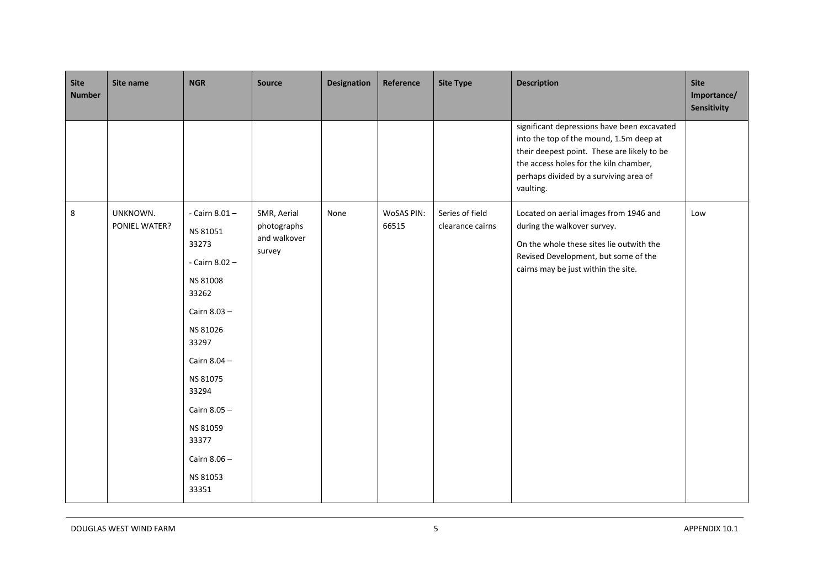| <b>Site</b><br><b>Number</b> | Site name                 | <b>NGR</b>                                                                                                                                                                                                                         | <b>Source</b>                                        | <b>Designation</b> | Reference           | <b>Site Type</b>                    | <b>Description</b>                                                                                                                                                                                                                     | <b>Site</b><br>Importance/<br>Sensitivity |
|------------------------------|---------------------------|------------------------------------------------------------------------------------------------------------------------------------------------------------------------------------------------------------------------------------|------------------------------------------------------|--------------------|---------------------|-------------------------------------|----------------------------------------------------------------------------------------------------------------------------------------------------------------------------------------------------------------------------------------|-------------------------------------------|
|                              |                           |                                                                                                                                                                                                                                    |                                                      |                    |                     |                                     | significant depressions have been excavated<br>into the top of the mound, 1.5m deep at<br>their deepest point. These are likely to be<br>the access holes for the kiln chamber,<br>perhaps divided by a surviving area of<br>vaulting. |                                           |
| 8                            | UNKNOWN.<br>PONIEL WATER? | $-$ Cairn 8.01 $-$<br>NS 81051<br>33273<br>- Cairn 8.02 -<br>NS 81008<br>33262<br>Cairn 8.03 -<br>NS 81026<br>33297<br>Cairn 8.04 -<br>NS 81075<br>33294<br>Cairn 8.05 -<br>NS 81059<br>33377<br>Cairn 8.06 -<br>NS 81053<br>33351 | SMR, Aerial<br>photographs<br>and walkover<br>survey | None               | WoSAS PIN:<br>66515 | Series of field<br>clearance cairns | Located on aerial images from 1946 and<br>during the walkover survey.<br>On the whole these sites lie outwith the<br>Revised Development, but some of the<br>cairns may be just within the site.                                       | Low                                       |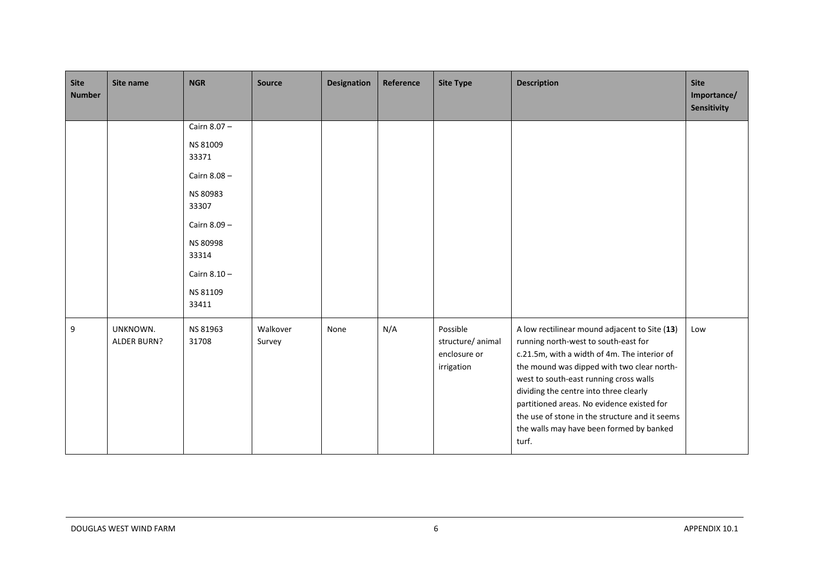| <b>Site</b><br><b>Number</b> | Site name               | <b>NGR</b>                                                                                                                                      | <b>Source</b>      | <b>Designation</b> | Reference | <b>Site Type</b>                                            | <b>Description</b>                                                                                                                                                                                                                                                                                                                                                                                                           | <b>Site</b><br>Importance/<br>Sensitivity |
|------------------------------|-------------------------|-------------------------------------------------------------------------------------------------------------------------------------------------|--------------------|--------------------|-----------|-------------------------------------------------------------|------------------------------------------------------------------------------------------------------------------------------------------------------------------------------------------------------------------------------------------------------------------------------------------------------------------------------------------------------------------------------------------------------------------------------|-------------------------------------------|
|                              |                         | Cairn 8.07 -<br>NS 81009<br>33371<br>Cairn 8.08 -<br>NS 80983<br>33307<br>Cairn 8.09 -<br>NS 80998<br>33314<br>Cairn 8.10-<br>NS 81109<br>33411 |                    |                    |           |                                                             |                                                                                                                                                                                                                                                                                                                                                                                                                              |                                           |
| 9                            | UNKNOWN.<br>ALDER BURN? | NS 81963<br>31708                                                                                                                               | Walkover<br>Survey | None               | N/A       | Possible<br>structure/ animal<br>enclosure or<br>irrigation | A low rectilinear mound adjacent to Site (13)<br>running north-west to south-east for<br>c.21.5m, with a width of 4m. The interior of<br>the mound was dipped with two clear north-<br>west to south-east running cross walls<br>dividing the centre into three clearly<br>partitioned areas. No evidence existed for<br>the use of stone in the structure and it seems<br>the walls may have been formed by banked<br>turf. | Low                                       |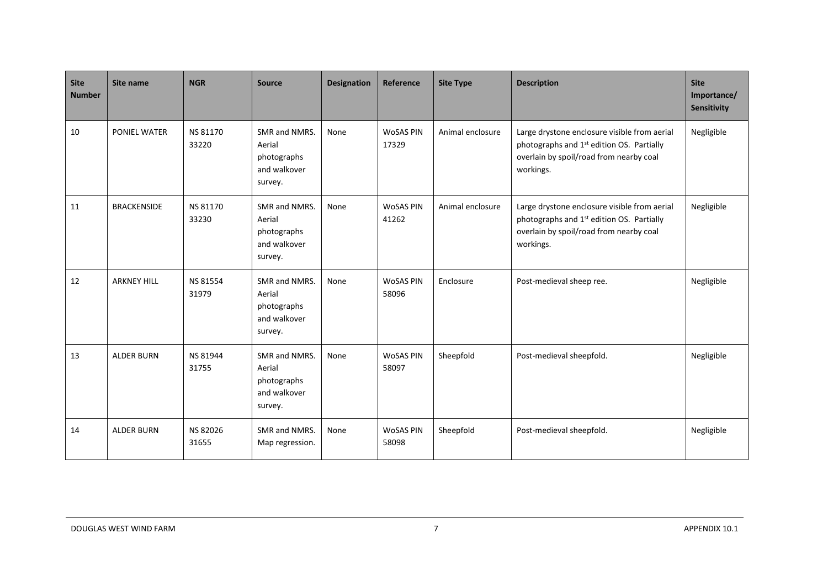| <b>Site</b><br><b>Number</b> | Site name          | <b>NGR</b>               | <b>Source</b>                                                     | <b>Designation</b> | Reference                 | <b>Site Type</b> | <b>Description</b>                                                                                                                                            | <b>Site</b><br>Importance/<br>Sensitivity |
|------------------------------|--------------------|--------------------------|-------------------------------------------------------------------|--------------------|---------------------------|------------------|---------------------------------------------------------------------------------------------------------------------------------------------------------------|-------------------------------------------|
| 10                           | PONIEL WATER       | NS 81170<br>33220        | SMR and NMRS.<br>Aerial<br>photographs<br>and walkover<br>survey. | None               | <b>WOSAS PIN</b><br>17329 | Animal enclosure | Large drystone enclosure visible from aerial<br>photographs and 1 <sup>st</sup> edition OS. Partially<br>overlain by spoil/road from nearby coal<br>workings. | Negligible                                |
| 11                           | <b>BRACKENSIDE</b> | NS 81170<br>33230        | SMR and NMRS.<br>Aerial<br>photographs<br>and walkover<br>survey. | None               | <b>WOSAS PIN</b><br>41262 | Animal enclosure | Large drystone enclosure visible from aerial<br>photographs and 1st edition OS. Partially<br>overlain by spoil/road from nearby coal<br>workings.             | Negligible                                |
| 12                           | <b>ARKNEY HILL</b> | NS 81554<br>31979        | SMR and NMRS.<br>Aerial<br>photographs<br>and walkover<br>survey. | None               | <b>WOSAS PIN</b><br>58096 | Enclosure        | Post-medieval sheep ree.                                                                                                                                      | Negligible                                |
| 13                           | <b>ALDER BURN</b>  | <b>NS 81944</b><br>31755 | SMR and NMRS.<br>Aerial<br>photographs<br>and walkover<br>survey. | None               | <b>WOSAS PIN</b><br>58097 | Sheepfold        | Post-medieval sheepfold.                                                                                                                                      | Negligible                                |
| 14                           | <b>ALDER BURN</b>  | NS 82026<br>31655        | SMR and NMRS.<br>Map regression.                                  | None               | <b>WOSAS PIN</b><br>58098 | Sheepfold        | Post-medieval sheepfold.                                                                                                                                      | Negligible                                |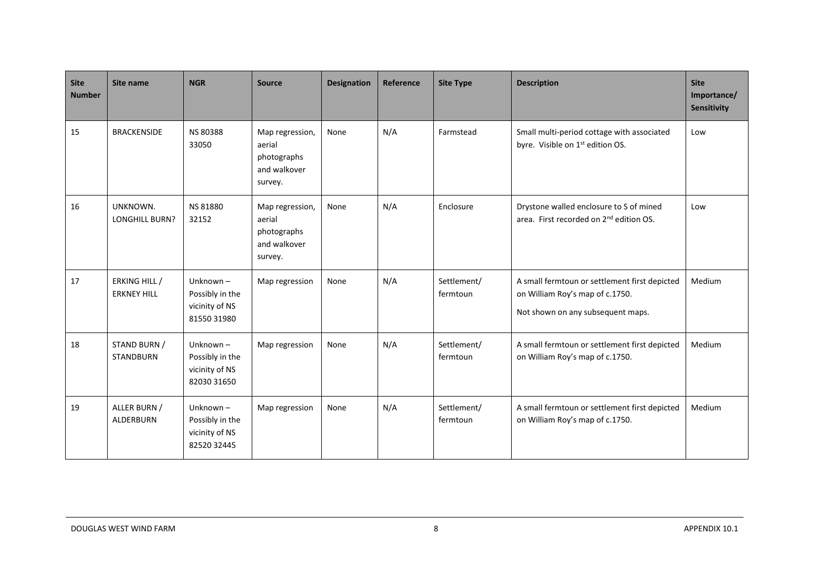| <b>Site</b><br><b>Number</b> | Site name                           | <b>NGR</b>                                                      | <b>Source</b>                                                       | <b>Designation</b> | Reference | <b>Site Type</b>        | <b>Description</b>                                                                                                    | <b>Site</b><br>Importance/<br>Sensitivity |
|------------------------------|-------------------------------------|-----------------------------------------------------------------|---------------------------------------------------------------------|--------------------|-----------|-------------------------|-----------------------------------------------------------------------------------------------------------------------|-------------------------------------------|
| 15                           | <b>BRACKENSIDE</b>                  | NS 80388<br>33050                                               | Map regression,<br>aerial<br>photographs<br>and walkover<br>survey. | None               | N/A       | Farmstead               | Small multi-period cottage with associated<br>byre. Visible on 1 <sup>st</sup> edition OS.                            | Low                                       |
| 16                           | UNKNOWN.<br><b>LONGHILL BURN?</b>   | NS 81880<br>32152                                               | Map regression,<br>aerial<br>photographs<br>and walkover<br>survey. | None               | N/A       | Enclosure               | Drystone walled enclosure to S of mined<br>area. First recorded on 2 <sup>nd</sup> edition OS.                        | Low                                       |
| 17                           | ERKING HILL /<br><b>ERKNEY HILL</b> | Unknown $-$<br>Possibly in the<br>vicinity of NS<br>81550 31980 | Map regression                                                      | None               | N/A       | Settlement/<br>fermtoun | A small fermtoun or settlement first depicted<br>on William Roy's map of c.1750.<br>Not shown on any subsequent maps. | Medium                                    |
| 18                           | STAND BURN /<br><b>STANDBURN</b>    | Unknown $-$<br>Possibly in the<br>vicinity of NS<br>82030 31650 | Map regression                                                      | None               | N/A       | Settlement/<br>fermtoun | A small fermtoun or settlement first depicted<br>on William Roy's map of c.1750.                                      | Medium                                    |
| 19                           | ALLER BURN /<br><b>ALDERBURN</b>    | Unknown $-$<br>Possibly in the<br>vicinity of NS<br>82520 32445 | Map regression                                                      | None               | N/A       | Settlement/<br>fermtoun | A small fermtoun or settlement first depicted<br>on William Roy's map of c.1750.                                      | Medium                                    |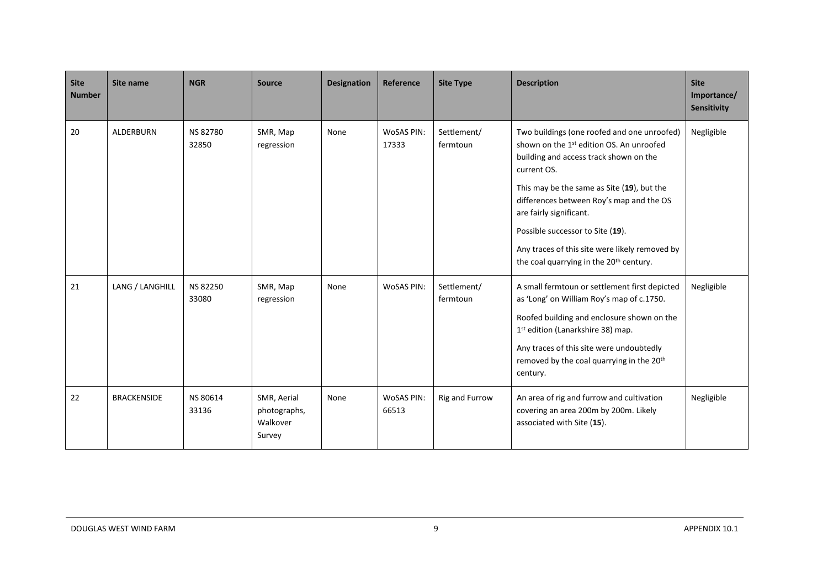| <b>Site</b><br><b>Number</b> | Site name          | <b>NGR</b>               | <b>Source</b>                                     | <b>Designation</b> | Reference                  | <b>Site Type</b>        | <b>Description</b>                                                                                                                                                                                                                                                                                                                                                                                                             | <b>Site</b><br>Importance/<br>Sensitivity |
|------------------------------|--------------------|--------------------------|---------------------------------------------------|--------------------|----------------------------|-------------------------|--------------------------------------------------------------------------------------------------------------------------------------------------------------------------------------------------------------------------------------------------------------------------------------------------------------------------------------------------------------------------------------------------------------------------------|-------------------------------------------|
| 20                           | ALDERBURN          | <b>NS 82780</b><br>32850 | SMR, Map<br>regression                            | None               | <b>WOSAS PIN:</b><br>17333 | Settlement/<br>fermtoun | Two buildings (one roofed and one unroofed)<br>shown on the 1 <sup>st</sup> edition OS. An unroofed<br>building and access track shown on the<br>current OS.<br>This may be the same as Site (19), but the<br>differences between Roy's map and the OS<br>are fairly significant.<br>Possible successor to Site (19).<br>Any traces of this site were likely removed by<br>the coal quarrying in the 20 <sup>th</sup> century. | Negligible                                |
| 21                           | LANG / LANGHILL    | <b>NS 82250</b><br>33080 | SMR, Map<br>regression                            | None               | <b>WOSAS PIN:</b>          | Settlement/<br>fermtoun | A small fermtoun or settlement first depicted<br>as 'Long' on William Roy's map of c.1750.<br>Roofed building and enclosure shown on the<br>1st edition (Lanarkshire 38) map.<br>Any traces of this site were undoubtedly<br>removed by the coal quarrying in the 20 <sup>th</sup><br>century.                                                                                                                                 | Negligible                                |
| 22                           | <b>BRACKENSIDE</b> | <b>NS 80614</b><br>33136 | SMR, Aerial<br>photographs,<br>Walkover<br>Survey | None               | <b>WOSAS PIN:</b><br>66513 | Rig and Furrow          | An area of rig and furrow and cultivation<br>covering an area 200m by 200m. Likely<br>associated with Site (15).                                                                                                                                                                                                                                                                                                               | Negligible                                |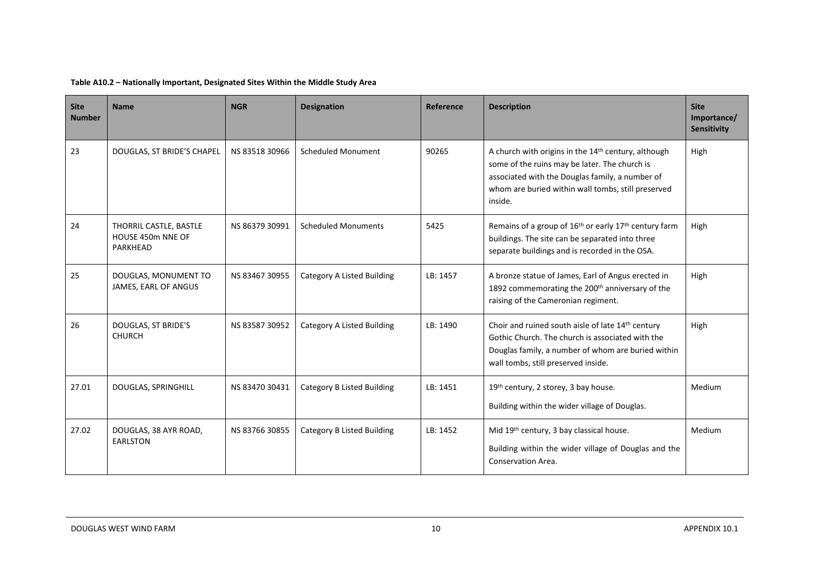| <b>Site</b><br><b>Number</b> | <b>Name</b>                                             | <b>NGR</b>     | <b>Designation</b>                | Reference | <b>Description</b>                                                                                                                                                                                                                   | <b>Site</b><br>Importance/<br><b>Sensitivity</b> |
|------------------------------|---------------------------------------------------------|----------------|-----------------------------------|-----------|--------------------------------------------------------------------------------------------------------------------------------------------------------------------------------------------------------------------------------------|--------------------------------------------------|
| 23                           | DOUGLAS, ST BRIDE'S CHAPEL                              | NS 83518 30966 | <b>Scheduled Monument</b>         | 90265     | A church with origins in the 14 <sup>th</sup> century, although<br>some of the ruins may be later. The church is<br>associated with the Douglas family, a number of<br>whom are buried within wall tombs, still preserved<br>inside. | High                                             |
| 24                           | THORRIL CASTLE, BASTLE<br>HOUSE 450m NNE OF<br>PARKHEAD | NS 86379 30991 | <b>Scheduled Monuments</b>        | 5425      | Remains of a group of 16 <sup>th</sup> or early 17 <sup>th</sup> century farm<br>buildings. The site can be separated into three<br>separate buildings and is recorded in the OSA.                                                   | High                                             |
| 25                           | DOUGLAS, MONUMENT TO<br>JAMES, EARL OF ANGUS            | NS 83467 30955 | <b>Category A Listed Building</b> | LB: 1457  | A bronze statue of James, Earl of Angus erected in<br>1892 commemorating the 200 <sup>th</sup> anniversary of the<br>raising of the Cameronian regiment.                                                                             | High                                             |
| 26                           | DOUGLAS, ST BRIDE'S<br><b>CHURCH</b>                    | NS 83587 30952 | <b>Category A Listed Building</b> | LB: 1490  | Choir and ruined south aisle of late 14 <sup>th</sup> century<br>Gothic Church. The church is associated with the<br>Douglas family, a number of whom are buried within<br>wall tombs, still preserved inside.                       | High                                             |
| 27.01                        | DOUGLAS, SPRINGHILL                                     | NS 83470 30431 | <b>Category B Listed Building</b> | LB: 1451  | 19 <sup>th</sup> century, 2 storey, 3 bay house.<br>Building within the wider village of Douglas.                                                                                                                                    | Medium                                           |
| 27.02                        | DOUGLAS, 38 AYR ROAD,<br><b>EARLSTON</b>                | NS 83766 30855 | <b>Category B Listed Building</b> | LB: 1452  | Mid 19th century, 3 bay classical house.<br>Building within the wider village of Douglas and the<br>Conservation Area.                                                                                                               | Medium                                           |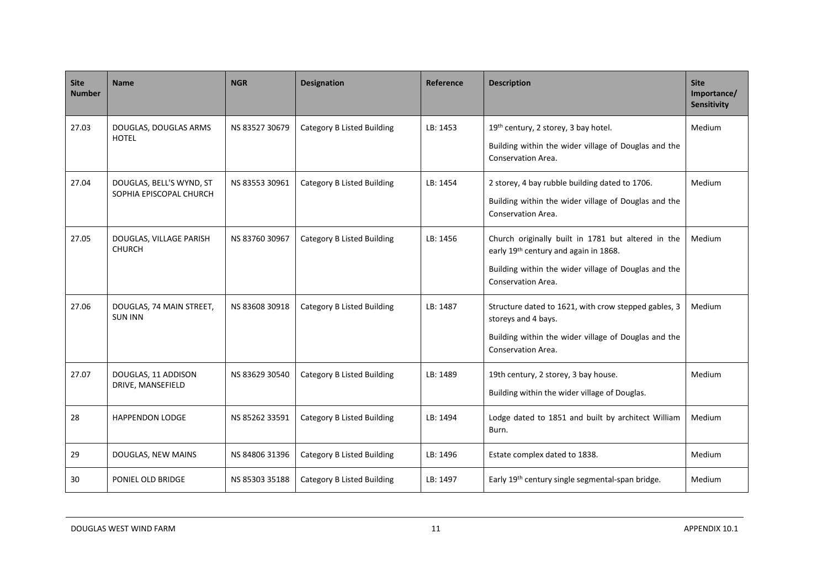| <b>Site</b><br><b>Number</b> | <b>Name</b>                                         | <b>NGR</b>     | <b>Designation</b>                | Reference | <b>Description</b>                                                                                                                                                        | <b>Site</b><br>Importance/<br>Sensitivity |
|------------------------------|-----------------------------------------------------|----------------|-----------------------------------|-----------|---------------------------------------------------------------------------------------------------------------------------------------------------------------------------|-------------------------------------------|
| 27.03                        | DOUGLAS, DOUGLAS ARMS<br><b>HOTEL</b>               | NS 83527 30679 | <b>Category B Listed Building</b> | LB: 1453  | 19th century, 2 storey, 3 bay hotel.<br>Building within the wider village of Douglas and the<br>Conservation Area.                                                        | Medium                                    |
| 27.04                        | DOUGLAS, BELL'S WYND, ST<br>SOPHIA EPISCOPAL CHURCH | NS 83553 30961 | Category B Listed Building        | LB: 1454  | 2 storey, 4 bay rubble building dated to 1706.<br>Building within the wider village of Douglas and the<br>Conservation Area.                                              | Medium                                    |
| 27.05                        | DOUGLAS, VILLAGE PARISH<br>CHURCH                   | NS 83760 30967 | <b>Category B Listed Building</b> | LB: 1456  | Church originally built in 1781 but altered in the<br>early 19th century and again in 1868.<br>Building within the wider village of Douglas and the<br>Conservation Area. | Medium                                    |
| 27.06                        | DOUGLAS, 74 MAIN STREET,<br><b>SUN INN</b>          | NS 83608 30918 | <b>Category B Listed Building</b> | LB: 1487  | Structure dated to 1621, with crow stepped gables, 3<br>storeys and 4 bays.<br>Building within the wider village of Douglas and the<br>Conservation Area.                 | Medium                                    |
| 27.07                        | DOUGLAS, 11 ADDISON<br>DRIVE, MANSEFIELD            | NS 83629 30540 | <b>Category B Listed Building</b> | LB: 1489  | 19th century, 2 storey, 3 bay house.<br>Building within the wider village of Douglas.                                                                                     | Medium                                    |
| 28                           | <b>HAPPENDON LODGE</b>                              | NS 85262 33591 | <b>Category B Listed Building</b> | LB: 1494  | Lodge dated to 1851 and built by architect William<br>Burn.                                                                                                               | Medium                                    |
| 29                           | DOUGLAS, NEW MAINS                                  | NS 84806 31396 | <b>Category B Listed Building</b> | LB: 1496  | Estate complex dated to 1838.                                                                                                                                             | Medium                                    |
| 30                           | PONIEL OLD BRIDGE                                   | NS 85303 35188 | Category B Listed Building        | LB: 1497  | Early 19 <sup>th</sup> century single segmental-span bridge.                                                                                                              | Medium                                    |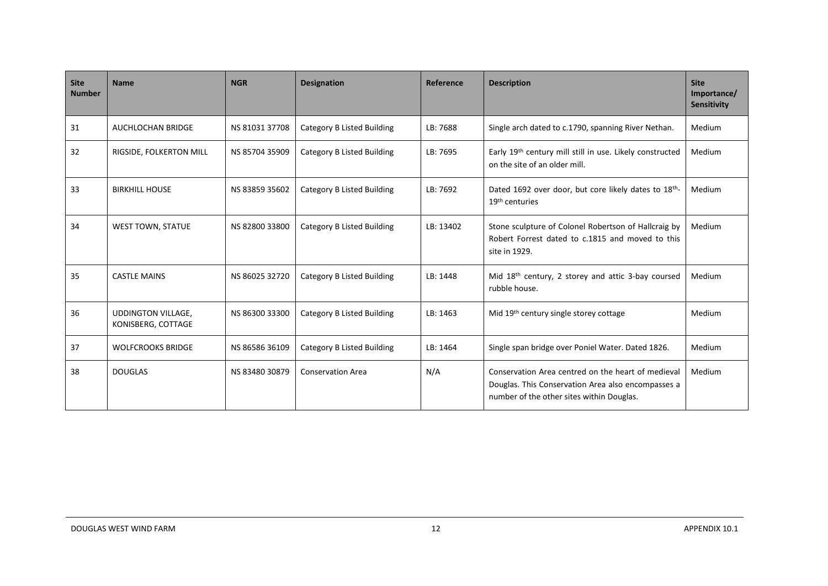| <b>Site</b><br><b>Number</b> | <b>Name</b>                                     | <b>NGR</b>     | <b>Designation</b>                | Reference | <b>Description</b>                                                                                                                                    | <b>Site</b><br>Importance/<br>Sensitivity |
|------------------------------|-------------------------------------------------|----------------|-----------------------------------|-----------|-------------------------------------------------------------------------------------------------------------------------------------------------------|-------------------------------------------|
| 31                           | AUCHLOCHAN BRIDGE                               | NS 81031 37708 | <b>Category B Listed Building</b> | LB: 7688  | Single arch dated to c.1790, spanning River Nethan.                                                                                                   | Medium                                    |
| 32                           | RIGSIDE, FOLKERTON MILL                         | NS 85704 35909 | <b>Category B Listed Building</b> | LB: 7695  | Early 19th century mill still in use. Likely constructed<br>on the site of an older mill.                                                             | Medium                                    |
| 33                           | <b>BIRKHILL HOUSE</b>                           | NS 83859 35602 | <b>Category B Listed Building</b> | LB: 7692  | Dated 1692 over door, but core likely dates to 18th-<br>19 <sup>th</sup> centuries                                                                    | Medium                                    |
| 34                           | <b>WEST TOWN, STATUE</b>                        | NS 82800 33800 | Category B Listed Building        | LB: 13402 | Stone sculpture of Colonel Robertson of Hallcraig by<br>Robert Forrest dated to c.1815 and moved to this<br>site in 1929.                             | <b>Medium</b>                             |
| 35                           | <b>CASTLE MAINS</b>                             | NS 86025 32720 | <b>Category B Listed Building</b> | LB: 1448  | Mid 18 <sup>th</sup> century, 2 storey and attic 3-bay coursed<br>rubble house.                                                                       | Medium                                    |
| 36                           | <b>UDDINGTON VILLAGE,</b><br>KONISBERG, COTTAGE | NS 86300 33300 | <b>Category B Listed Building</b> | LB: 1463  | Mid 19 <sup>th</sup> century single storey cottage                                                                                                    | Medium                                    |
| 37                           | <b>WOLFCROOKS BRIDGE</b>                        | NS 86586 36109 | <b>Category B Listed Building</b> | LB: 1464  | Single span bridge over Poniel Water. Dated 1826.                                                                                                     | <b>Medium</b>                             |
| 38                           | <b>DOUGLAS</b>                                  | NS 83480 30879 | <b>Conservation Area</b>          | N/A       | Conservation Area centred on the heart of medieval<br>Douglas. This Conservation Area also encompasses a<br>number of the other sites within Douglas. | <b>Medium</b>                             |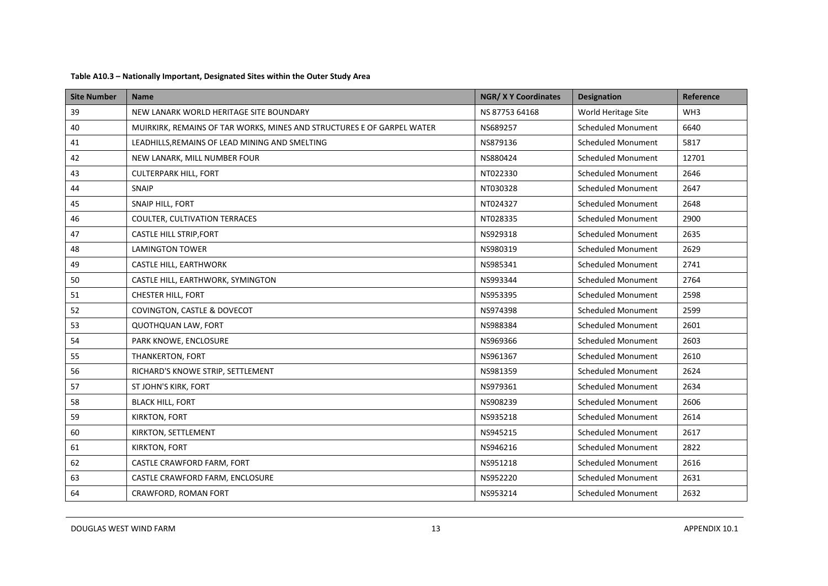### **Table A10.3 – Nationally Important, Designated Sites within the Outer Study Area**

| <b>Site Number</b> | <b>Name</b>                                                            | <b>NGR/ X Y Coordinates</b> | <b>Designation</b>        | Reference       |
|--------------------|------------------------------------------------------------------------|-----------------------------|---------------------------|-----------------|
| 39                 | NEW LANARK WORLD HERITAGE SITE BOUNDARY                                | NS 87753 64168              | World Heritage Site       | WH <sub>3</sub> |
| 40                 | MUIRKIRK, REMAINS OF TAR WORKS, MINES AND STRUCTURES E OF GARPEL WATER | NS689257                    | <b>Scheduled Monument</b> | 6640            |
| 41                 | LEADHILLS, REMAINS OF LEAD MINING AND SMELTING                         | NS879136                    | <b>Scheduled Monument</b> | 5817            |
| 42                 | NEW LANARK, MILL NUMBER FOUR                                           | NS880424                    | <b>Scheduled Monument</b> | 12701           |
| 43                 | <b>CULTERPARK HILL, FORT</b>                                           | NT022330                    | <b>Scheduled Monument</b> | 2646            |
| 44                 | SNAIP                                                                  | NT030328                    | <b>Scheduled Monument</b> | 2647            |
| 45                 | SNAIP HILL, FORT                                                       | NT024327                    | <b>Scheduled Monument</b> | 2648            |
| 46                 | <b>COULTER, CULTIVATION TERRACES</b>                                   | NT028335                    | <b>Scheduled Monument</b> | 2900            |
| 47                 | <b>CASTLE HILL STRIP, FORT</b>                                         | NS929318                    | <b>Scheduled Monument</b> | 2635            |
| 48                 | <b>LAMINGTON TOWER</b>                                                 | NS980319                    | <b>Scheduled Monument</b> | 2629            |
| 49                 | CASTLE HILL, EARTHWORK                                                 | NS985341                    | <b>Scheduled Monument</b> | 2741            |
| 50                 | CASTLE HILL, EARTHWORK, SYMINGTON                                      | NS993344                    | <b>Scheduled Monument</b> | 2764            |
| 51                 | CHESTER HILL, FORT                                                     | NS953395                    | <b>Scheduled Monument</b> | 2598            |
| 52                 | COVINGTON, CASTLE & DOVECOT                                            | NS974398                    | <b>Scheduled Monument</b> | 2599            |
| 53                 | <b>QUOTHQUAN LAW, FORT</b>                                             | NS988384                    | <b>Scheduled Monument</b> | 2601            |
| 54                 | PARK KNOWE, ENCLOSURE                                                  | NS969366                    | <b>Scheduled Monument</b> | 2603            |
| 55                 | THANKERTON, FORT                                                       | NS961367                    | <b>Scheduled Monument</b> | 2610            |
| 56                 | RICHARD'S KNOWE STRIP, SETTLEMENT                                      | NS981359                    | <b>Scheduled Monument</b> | 2624            |
| 57                 | ST JOHN'S KIRK, FORT                                                   | NS979361                    | <b>Scheduled Monument</b> | 2634            |
| 58                 | <b>BLACK HILL, FORT</b>                                                | NS908239                    | <b>Scheduled Monument</b> | 2606            |
| 59                 | <b>KIRKTON, FORT</b>                                                   | NS935218                    | <b>Scheduled Monument</b> | 2614            |
| 60                 | KIRKTON, SETTLEMENT                                                    | NS945215                    | <b>Scheduled Monument</b> | 2617            |
| 61                 | KIRKTON, FORT                                                          | NS946216                    | <b>Scheduled Monument</b> | 2822            |
| 62                 | CASTLE CRAWFORD FARM, FORT                                             | NS951218                    | <b>Scheduled Monument</b> | 2616            |
| 63                 | CASTLE CRAWFORD FARM, ENCLOSURE                                        | NS952220                    | <b>Scheduled Monument</b> | 2631            |
| 64                 | CRAWFORD, ROMAN FORT                                                   | NS953214                    | <b>Scheduled Monument</b> | 2632            |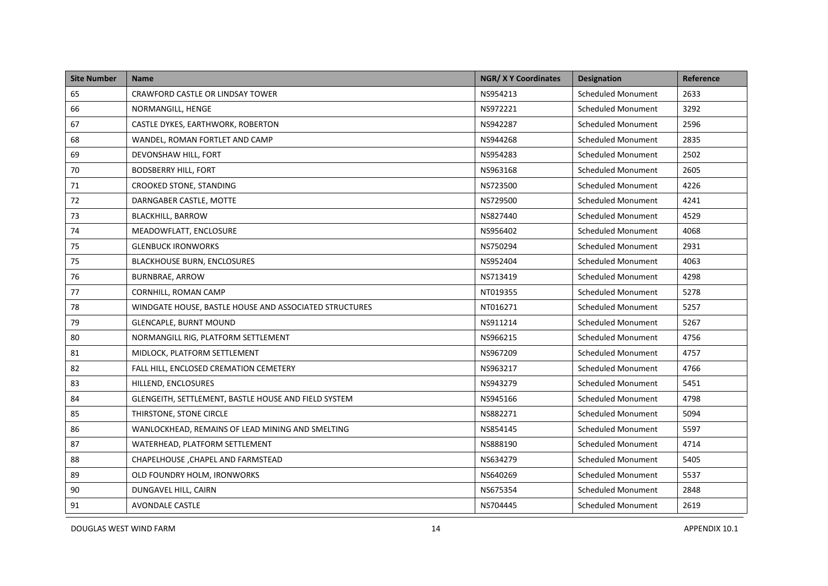| <b>Site Number</b> | <b>Name</b>                                            | <b>NGR/ X Y Coordinates</b> | <b>Designation</b>        | Reference |
|--------------------|--------------------------------------------------------|-----------------------------|---------------------------|-----------|
| 65                 | CRAWFORD CASTLE OR LINDSAY TOWER                       | NS954213                    | <b>Scheduled Monument</b> | 2633      |
| 66                 | NORMANGILL, HENGE                                      | NS972221                    | <b>Scheduled Monument</b> | 3292      |
| 67                 | CASTLE DYKES, EARTHWORK, ROBERTON                      | NS942287                    | <b>Scheduled Monument</b> | 2596      |
| 68                 | WANDEL, ROMAN FORTLET AND CAMP                         | NS944268                    | <b>Scheduled Monument</b> | 2835      |
| 69                 | DEVONSHAW HILL, FORT                                   | NS954283                    | Scheduled Monument        | 2502      |
| 70                 | <b>BODSBERRY HILL, FORT</b>                            | NS963168                    | <b>Scheduled Monument</b> | 2605      |
| 71                 | CROOKED STONE, STANDING                                | NS723500                    | <b>Scheduled Monument</b> | 4226      |
| 72                 | DARNGABER CASTLE, MOTTE                                | NS729500                    | <b>Scheduled Monument</b> | 4241      |
| 73                 | <b>BLACKHILL, BARROW</b>                               | NS827440                    | <b>Scheduled Monument</b> | 4529      |
| 74                 | MEADOWFLATT, ENCLOSURE                                 | NS956402                    | <b>Scheduled Monument</b> | 4068      |
| 75                 | <b>GLENBUCK IRONWORKS</b>                              | NS750294                    | <b>Scheduled Monument</b> | 2931      |
| 75                 | <b>BLACKHOUSE BURN, ENCLOSURES</b>                     | NS952404                    | <b>Scheduled Monument</b> | 4063      |
| 76                 | <b>BURNBRAE, ARROW</b>                                 | NS713419                    | <b>Scheduled Monument</b> | 4298      |
| 77                 | CORNHILL, ROMAN CAMP                                   | NT019355                    | <b>Scheduled Monument</b> | 5278      |
| 78                 | WINDGATE HOUSE, BASTLE HOUSE AND ASSOCIATED STRUCTURES | NT016271                    | <b>Scheduled Monument</b> | 5257      |
| 79                 | <b>GLENCAPLE, BURNT MOUND</b>                          | NS911214                    | Scheduled Monument        | 5267      |
| 80                 | NORMANGILL RIG, PLATFORM SETTLEMENT                    | NS966215                    | <b>Scheduled Monument</b> | 4756      |
| 81                 | MIDLOCK, PLATFORM SETTLEMENT                           | NS967209                    | <b>Scheduled Monument</b> | 4757      |
| 82                 | FALL HILL, ENCLOSED CREMATION CEMETERY                 | NS963217                    | <b>Scheduled Monument</b> | 4766      |
| 83                 | HILLEND, ENCLOSURES                                    | NS943279                    | <b>Scheduled Monument</b> | 5451      |
| 84                 | GLENGEITH, SETTLEMENT, BASTLE HOUSE AND FIELD SYSTEM   | NS945166                    | <b>Scheduled Monument</b> | 4798      |
| 85                 | THIRSTONE, STONE CIRCLE                                | NS882271                    | <b>Scheduled Monument</b> | 5094      |
| 86                 | WANLOCKHEAD, REMAINS OF LEAD MINING AND SMELTING       | NS854145                    | <b>Scheduled Monument</b> | 5597      |
| 87                 | WATERHEAD, PLATFORM SETTLEMENT                         | NS888190                    | <b>Scheduled Monument</b> | 4714      |
| 88                 | CHAPELHOUSE, CHAPEL AND FARMSTEAD                      | NS634279                    | <b>Scheduled Monument</b> | 5405      |
| 89                 | OLD FOUNDRY HOLM, IRONWORKS                            | NS640269                    | <b>Scheduled Monument</b> | 5537      |
| 90                 | DUNGAVEL HILL, CAIRN                                   | NS675354                    | <b>Scheduled Monument</b> | 2848      |
| 91                 | <b>AVONDALE CASTLE</b>                                 | NS704445                    | <b>Scheduled Monument</b> | 2619      |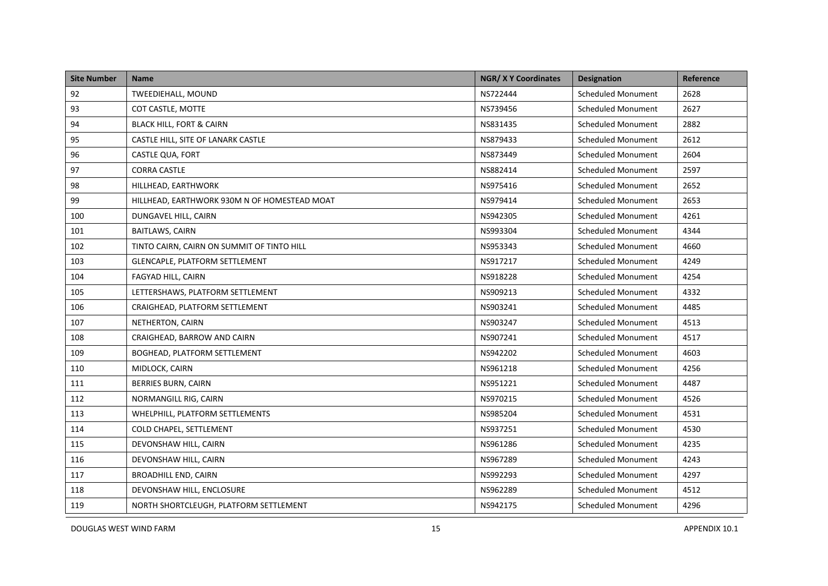| <b>Site Number</b> | <b>Name</b>                                  | <b>NGR/ X Y Coordinates</b> | <b>Designation</b>        | <b>Reference</b> |
|--------------------|----------------------------------------------|-----------------------------|---------------------------|------------------|
| 92                 | TWEEDIEHALL, MOUND                           | NS722444                    | <b>Scheduled Monument</b> | 2628             |
| 93                 | COT CASTLE, MOTTE                            | NS739456                    | <b>Scheduled Monument</b> | 2627             |
| 94                 | <b>BLACK HILL, FORT &amp; CAIRN</b>          | NS831435                    | <b>Scheduled Monument</b> | 2882             |
| 95                 | CASTLE HILL, SITE OF LANARK CASTLE           | NS879433                    | <b>Scheduled Monument</b> | 2612             |
| 96                 | CASTLE QUA, FORT                             | NS873449                    | <b>Scheduled Monument</b> | 2604             |
| 97                 | <b>CORRA CASTLE</b>                          | NS882414                    | <b>Scheduled Monument</b> | 2597             |
| 98                 | HILLHEAD, EARTHWORK                          | NS975416                    | <b>Scheduled Monument</b> | 2652             |
| 99                 | HILLHEAD, EARTHWORK 930M N OF HOMESTEAD MOAT | NS979414                    | <b>Scheduled Monument</b> | 2653             |
| 100                | DUNGAVEL HILL, CAIRN                         | NS942305                    | <b>Scheduled Monument</b> | 4261             |
| 101                | <b>BAITLAWS, CAIRN</b>                       | NS993304                    | <b>Scheduled Monument</b> | 4344             |
| 102                | TINTO CAIRN, CAIRN ON SUMMIT OF TINTO HILL   | NS953343                    | <b>Scheduled Monument</b> | 4660             |
| 103                | GLENCAPLE, PLATFORM SETTLEMENT               | NS917217                    | <b>Scheduled Monument</b> | 4249             |
| 104                | FAGYAD HILL, CAIRN                           | NS918228                    | <b>Scheduled Monument</b> | 4254             |
| 105                | LETTERSHAWS, PLATFORM SETTLEMENT             | NS909213                    | <b>Scheduled Monument</b> | 4332             |
| 106                | CRAIGHEAD, PLATFORM SETTLEMENT               | NS903241                    | <b>Scheduled Monument</b> | 4485             |
| 107                | NETHERTON, CAIRN                             | NS903247                    | <b>Scheduled Monument</b> | 4513             |
| 108                | CRAIGHEAD, BARROW AND CAIRN                  | NS907241                    | <b>Scheduled Monument</b> | 4517             |
| 109                | BOGHEAD, PLATFORM SETTLEMENT                 | NS942202                    | <b>Scheduled Monument</b> | 4603             |
| 110                | MIDLOCK, CAIRN                               | NS961218                    | <b>Scheduled Monument</b> | 4256             |
| 111                | <b>BERRIES BURN, CAIRN</b>                   | NS951221                    | <b>Scheduled Monument</b> | 4487             |
| 112                | NORMANGILL RIG, CAIRN                        | NS970215                    | <b>Scheduled Monument</b> | 4526             |
| 113                | WHELPHILL, PLATFORM SETTLEMENTS              | NS985204                    | <b>Scheduled Monument</b> | 4531             |
| 114                | COLD CHAPEL, SETTLEMENT                      | NS937251                    | <b>Scheduled Monument</b> | 4530             |
| 115                | DEVONSHAW HILL, CAIRN                        | NS961286                    | <b>Scheduled Monument</b> | 4235             |
| 116                | DEVONSHAW HILL, CAIRN                        | NS967289                    | <b>Scheduled Monument</b> | 4243             |
| 117                | <b>BROADHILL END, CAIRN</b>                  | NS992293                    | <b>Scheduled Monument</b> | 4297             |
| 118                | DEVONSHAW HILL, ENCLOSURE                    | NS962289                    | <b>Scheduled Monument</b> | 4512             |
| 119                | NORTH SHORTCLEUGH, PLATFORM SETTLEMENT       | NS942175                    | <b>Scheduled Monument</b> | 4296             |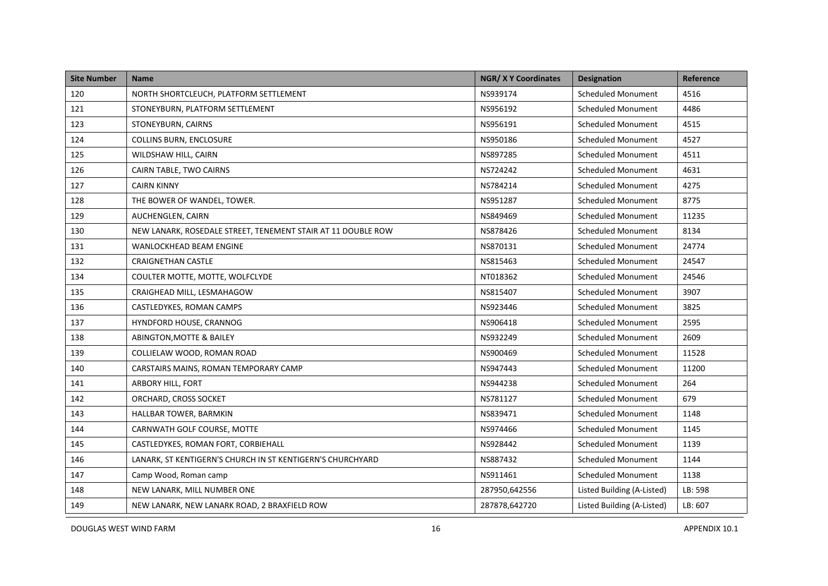| <b>Site Number</b> | <b>Name</b>                                                  | <b>NGR/ X Y Coordinates</b> | <b>Designation</b>         | Reference |
|--------------------|--------------------------------------------------------------|-----------------------------|----------------------------|-----------|
| 120                | NORTH SHORTCLEUCH, PLATFORM SETTLEMENT                       | NS939174                    | <b>Scheduled Monument</b>  | 4516      |
| 121                | STONEYBURN, PLATFORM SETTLEMENT                              | NS956192                    | <b>Scheduled Monument</b>  | 4486      |
| 123                | STONEYBURN, CAIRNS                                           | NS956191                    | <b>Scheduled Monument</b>  | 4515      |
| 124                | <b>COLLINS BURN, ENCLOSURE</b>                               | NS950186                    | <b>Scheduled Monument</b>  | 4527      |
| 125                | WILDSHAW HILL, CAIRN                                         | NS897285                    | <b>Scheduled Monument</b>  | 4511      |
| 126                | CAIRN TABLE, TWO CAIRNS                                      | NS724242                    | <b>Scheduled Monument</b>  | 4631      |
| 127                | <b>CAIRN KINNY</b>                                           | NS784214                    | <b>Scheduled Monument</b>  | 4275      |
| 128                | THE BOWER OF WANDEL, TOWER.                                  | NS951287                    | <b>Scheduled Monument</b>  | 8775      |
| 129                | AUCHENGLEN, CAIRN                                            | NS849469                    | <b>Scheduled Monument</b>  | 11235     |
| 130                | NEW LANARK, ROSEDALE STREET, TENEMENT STAIR AT 11 DOUBLE ROW | NS878426                    | <b>Scheduled Monument</b>  | 8134      |
| 131                | <b>WANLOCKHEAD BEAM ENGINE</b>                               | NS870131                    | <b>Scheduled Monument</b>  | 24774     |
| 132                | <b>CRAIGNETHAN CASTLE</b>                                    | NS815463                    | <b>Scheduled Monument</b>  | 24547     |
| 134                | COULTER MOTTE, MOTTE, WOLFCLYDE                              | NT018362                    | <b>Scheduled Monument</b>  | 24546     |
| 135                | CRAIGHEAD MILL, LESMAHAGOW                                   | NS815407                    | <b>Scheduled Monument</b>  | 3907      |
| 136                | CASTLEDYKES, ROMAN CAMPS                                     | NS923446                    | <b>Scheduled Monument</b>  | 3825      |
| 137                | HYNDFORD HOUSE, CRANNOG                                      | NS906418                    | <b>Scheduled Monument</b>  | 2595      |
| 138                | ABINGTON, MOTTE & BAILEY                                     | NS932249                    | <b>Scheduled Monument</b>  | 2609      |
| 139                | COLLIELAW WOOD, ROMAN ROAD                                   | NS900469                    | <b>Scheduled Monument</b>  | 11528     |
| 140                | CARSTAIRS MAINS, ROMAN TEMPORARY CAMP                        | NS947443                    | <b>Scheduled Monument</b>  | 11200     |
| 141                | ARBORY HILL, FORT                                            | NS944238                    | <b>Scheduled Monument</b>  | 264       |
| 142                | ORCHARD, CROSS SOCKET                                        | NS781127                    | <b>Scheduled Monument</b>  | 679       |
| 143                | HALLBAR TOWER, BARMKIN                                       | NS839471                    | <b>Scheduled Monument</b>  | 1148      |
| 144                | CARNWATH GOLF COURSE, MOTTE                                  | NS974466                    | <b>Scheduled Monument</b>  | 1145      |
| 145                | CASTLEDYKES, ROMAN FORT, CORBIEHALL                          | NS928442                    | <b>Scheduled Monument</b>  | 1139      |
| 146                | LANARK, ST KENTIGERN'S CHURCH IN ST KENTIGERN'S CHURCHYARD   | NS887432                    | <b>Scheduled Monument</b>  | 1144      |
| 147                | Camp Wood, Roman camp                                        | NS911461                    | <b>Scheduled Monument</b>  | 1138      |
| 148                | NEW LANARK, MILL NUMBER ONE                                  | 287950,642556               | Listed Building (A-Listed) | LB: 598   |
| 149                | NEW LANARK, NEW LANARK ROAD, 2 BRAXFIELD ROW                 | 287878,642720               | Listed Building (A-Listed) | LB: 607   |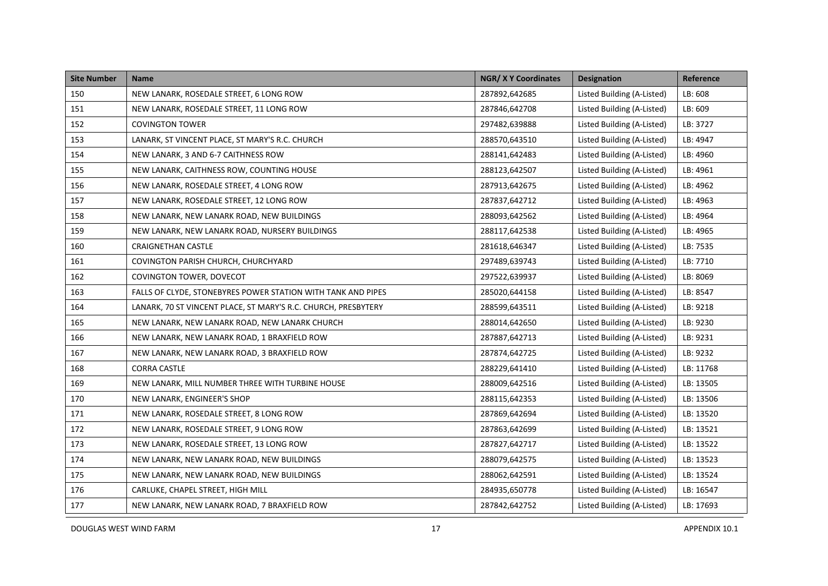| <b>Site Number</b> | <b>Name</b>                                                    | <b>NGR/ X Y Coordinates</b> | <b>Designation</b>         | Reference |
|--------------------|----------------------------------------------------------------|-----------------------------|----------------------------|-----------|
| 150                | NEW LANARK, ROSEDALE STREET, 6 LONG ROW                        | 287892,642685               | Listed Building (A-Listed) | LB: 608   |
| 151                | NEW LANARK, ROSEDALE STREET, 11 LONG ROW                       | 287846,642708               | Listed Building (A-Listed) | LB: 609   |
| 152                | <b>COVINGTON TOWER</b>                                         | 297482,639888               | Listed Building (A-Listed) | LB: 3727  |
| 153                | LANARK, ST VINCENT PLACE, ST MARY'S R.C. CHURCH                | 288570,643510               | Listed Building (A-Listed) | LB: 4947  |
| 154                | NEW LANARK, 3 AND 6-7 CAITHNESS ROW                            | 288141,642483               | Listed Building (A-Listed) | LB: 4960  |
| 155                | NEW LANARK, CAITHNESS ROW, COUNTING HOUSE                      | 288123,642507               | Listed Building (A-Listed) | LB: 4961  |
| 156                | NEW LANARK, ROSEDALE STREET, 4 LONG ROW                        | 287913,642675               | Listed Building (A-Listed) | LB: 4962  |
| 157                | NEW LANARK, ROSEDALE STREET, 12 LONG ROW                       | 287837,642712               | Listed Building (A-Listed) | LB: 4963  |
| 158                | NEW LANARK, NEW LANARK ROAD, NEW BUILDINGS                     | 288093,642562               | Listed Building (A-Listed) | LB: 4964  |
| 159                | NEW LANARK, NEW LANARK ROAD, NURSERY BUILDINGS                 | 288117,642538               | Listed Building (A-Listed) | LB: 4965  |
| 160                | <b>CRAIGNETHAN CASTLE</b>                                      | 281618,646347               | Listed Building (A-Listed) | LB: 7535  |
| 161                | COVINGTON PARISH CHURCH, CHURCHYARD                            | 297489,639743               | Listed Building (A-Listed) | LB: 7710  |
| 162                | COVINGTON TOWER, DOVECOT                                       | 297522,639937               | Listed Building (A-Listed) | LB: 8069  |
| 163                | FALLS OF CLYDE, STONEBYRES POWER STATION WITH TANK AND PIPES   | 285020,644158               | Listed Building (A-Listed) | LB: 8547  |
| 164                | LANARK, 70 ST VINCENT PLACE, ST MARY'S R.C. CHURCH, PRESBYTERY | 288599,643511               | Listed Building (A-Listed) | LB: 9218  |
| 165                | NEW LANARK, NEW LANARK ROAD, NEW LANARK CHURCH                 | 288014,642650               | Listed Building (A-Listed) | LB: 9230  |
| 166                | NEW LANARK, NEW LANARK ROAD, 1 BRAXFIELD ROW                   | 287887,642713               | Listed Building (A-Listed) | LB: 9231  |
| 167                | NEW LANARK, NEW LANARK ROAD, 3 BRAXFIELD ROW                   | 287874,642725               | Listed Building (A-Listed) | LB: 9232  |
| 168                | <b>CORRA CASTLE</b>                                            | 288229,641410               | Listed Building (A-Listed) | LB: 11768 |
| 169                | NEW LANARK, MILL NUMBER THREE WITH TURBINE HOUSE               | 288009,642516               | Listed Building (A-Listed) | LB: 13505 |
| 170                | NEW LANARK, ENGINEER'S SHOP                                    | 288115,642353               | Listed Building (A-Listed) | LB: 13506 |
| 171                | NEW LANARK, ROSEDALE STREET, 8 LONG ROW                        | 287869,642694               | Listed Building (A-Listed) | LB: 13520 |
| 172                | NEW LANARK, ROSEDALE STREET, 9 LONG ROW                        | 287863,642699               | Listed Building (A-Listed) | LB: 13521 |
| 173                | NEW LANARK, ROSEDALE STREET, 13 LONG ROW                       | 287827,642717               | Listed Building (A-Listed) | LB: 13522 |
| 174                | NEW LANARK, NEW LANARK ROAD, NEW BUILDINGS                     | 288079,642575               | Listed Building (A-Listed) | LB: 13523 |
| 175                | NEW LANARK, NEW LANARK ROAD, NEW BUILDINGS                     | 288062,642591               | Listed Building (A-Listed) | LB: 13524 |
| 176                | CARLUKE, CHAPEL STREET, HIGH MILL                              | 284935,650778               | Listed Building (A-Listed) | LB: 16547 |
| 177                | NEW LANARK, NEW LANARK ROAD, 7 BRAXFIELD ROW                   | 287842,642752               | Listed Building (A-Listed) | LB: 17693 |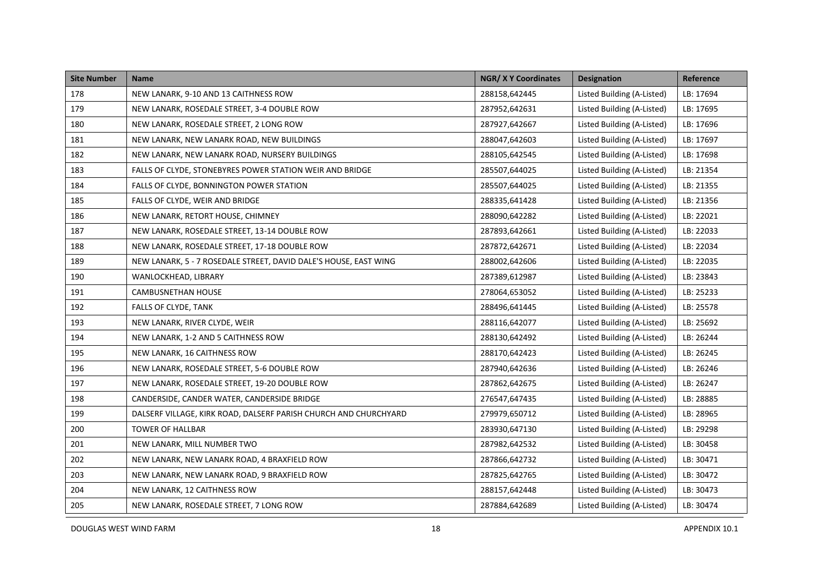| <b>Site Number</b> | <b>Name</b>                                                      | <b>NGR/ X Y Coordinates</b> | <b>Designation</b>         | Reference |
|--------------------|------------------------------------------------------------------|-----------------------------|----------------------------|-----------|
| 178                | NEW LANARK, 9-10 AND 13 CAITHNESS ROW                            | 288158,642445               | Listed Building (A-Listed) | LB: 17694 |
| 179                | NEW LANARK, ROSEDALE STREET, 3-4 DOUBLE ROW                      | 287952,642631               | Listed Building (A-Listed) | LB: 17695 |
| 180                | NEW LANARK, ROSEDALE STREET, 2 LONG ROW                          | 287927,642667               | Listed Building (A-Listed) | LB: 17696 |
| 181                | NEW LANARK, NEW LANARK ROAD, NEW BUILDINGS                       | 288047,642603               | Listed Building (A-Listed) | LB: 17697 |
| 182                | NEW LANARK, NEW LANARK ROAD, NURSERY BUILDINGS                   | 288105,642545               | Listed Building (A-Listed) | LB: 17698 |
| 183                | FALLS OF CLYDE, STONEBYRES POWER STATION WEIR AND BRIDGE         | 285507,644025               | Listed Building (A-Listed) | LB: 21354 |
| 184                | FALLS OF CLYDE, BONNINGTON POWER STATION                         | 285507,644025               | Listed Building (A-Listed) | LB: 21355 |
| 185                | FALLS OF CLYDE, WEIR AND BRIDGE                                  | 288335,641428               | Listed Building (A-Listed) | LB: 21356 |
| 186                | NEW LANARK, RETORT HOUSE, CHIMNEY                                | 288090,642282               | Listed Building (A-Listed) | LB: 22021 |
| 187                | NEW LANARK, ROSEDALE STREET, 13-14 DOUBLE ROW                    | 287893,642661               | Listed Building (A-Listed) | LB: 22033 |
| 188                | NEW LANARK, ROSEDALE STREET, 17-18 DOUBLE ROW                    | 287872,642671               | Listed Building (A-Listed) | LB: 22034 |
| 189                | NEW LANARK, 5 - 7 ROSEDALE STREET, DAVID DALE'S HOUSE, EAST WING | 288002,642606               | Listed Building (A-Listed) | LB: 22035 |
| 190                | WANLOCKHEAD, LIBRARY                                             | 287389,612987               | Listed Building (A-Listed) | LB: 23843 |
| 191                | CAMBUSNETHAN HOUSE                                               | 278064,653052               | Listed Building (A-Listed) | LB: 25233 |
| 192                | FALLS OF CLYDE, TANK                                             | 288496,641445               | Listed Building (A-Listed) | LB: 25578 |
| 193                | NEW LANARK, RIVER CLYDE, WEIR                                    | 288116,642077               | Listed Building (A-Listed) | LB: 25692 |
| 194                | NEW LANARK, 1-2 AND 5 CAITHNESS ROW                              | 288130,642492               | Listed Building (A-Listed) | LB: 26244 |
| 195                | NEW LANARK, 16 CAITHNESS ROW                                     | 288170,642423               | Listed Building (A-Listed) | LB: 26245 |
| 196                | NEW LANARK, ROSEDALE STREET, 5-6 DOUBLE ROW                      | 287940,642636               | Listed Building (A-Listed) | LB: 26246 |
| 197                | NEW LANARK, ROSEDALE STREET, 19-20 DOUBLE ROW                    | 287862,642675               | Listed Building (A-Listed) | LB: 26247 |
| 198                | CANDERSIDE, CANDER WATER, CANDERSIDE BRIDGE                      | 276547,647435               | Listed Building (A-Listed) | LB: 28885 |
| 199                | DALSERF VILLAGE, KIRK ROAD, DALSERF PARISH CHURCH AND CHURCHYARD | 279979,650712               | Listed Building (A-Listed) | LB: 28965 |
| 200                | <b>TOWER OF HALLBAR</b>                                          | 283930,647130               | Listed Building (A-Listed) | LB: 29298 |
| 201                | NEW LANARK, MILL NUMBER TWO                                      | 287982,642532               | Listed Building (A-Listed) | LB: 30458 |
| 202                | NEW LANARK, NEW LANARK ROAD, 4 BRAXFIELD ROW                     | 287866,642732               | Listed Building (A-Listed) | LB: 30471 |
| 203                | NEW LANARK, NEW LANARK ROAD, 9 BRAXFIELD ROW                     | 287825,642765               | Listed Building (A-Listed) | LB: 30472 |
| 204                | NEW LANARK, 12 CAITHNESS ROW                                     | 288157,642448               | Listed Building (A-Listed) | LB: 30473 |
| 205                | NEW LANARK, ROSEDALE STREET, 7 LONG ROW                          | 287884,642689               | Listed Building (A-Listed) | LB: 30474 |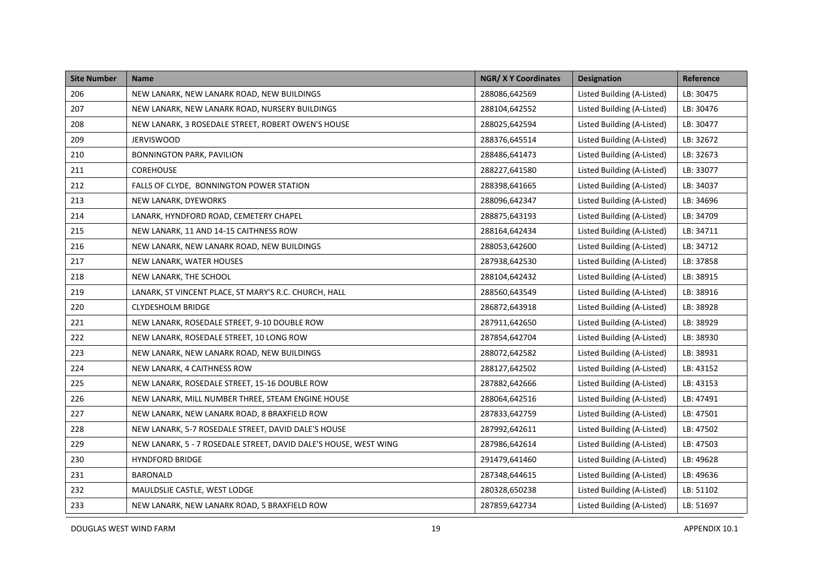| <b>Site Number</b> | <b>Name</b>                                                      | <b>NGR/ X Y Coordinates</b> | <b>Designation</b>         | Reference |
|--------------------|------------------------------------------------------------------|-----------------------------|----------------------------|-----------|
| 206                | NEW LANARK, NEW LANARK ROAD, NEW BUILDINGS                       | 288086,642569               | Listed Building (A-Listed) | LB: 30475 |
| 207                | NEW LANARK, NEW LANARK ROAD, NURSERY BUILDINGS                   | 288104,642552               | Listed Building (A-Listed) | LB: 30476 |
| 208                | NEW LANARK, 3 ROSEDALE STREET, ROBERT OWEN'S HOUSE               | 288025,642594               | Listed Building (A-Listed) | LB: 30477 |
| 209                | <b>JERVISWOOD</b>                                                | 288376,645514               | Listed Building (A-Listed) | LB: 32672 |
| 210                | <b>BONNINGTON PARK, PAVILION</b>                                 | 288486,641473               | Listed Building (A-Listed) | LB: 32673 |
| 211                | <b>COREHOUSE</b>                                                 | 288227,641580               | Listed Building (A-Listed) | LB: 33077 |
| 212                | FALLS OF CLYDE, BONNINGTON POWER STATION                         | 288398,641665               | Listed Building (A-Listed) | LB: 34037 |
| 213                | NEW LANARK, DYEWORKS                                             | 288096,642347               | Listed Building (A-Listed) | LB: 34696 |
| 214                | LANARK, HYNDFORD ROAD, CEMETERY CHAPEL                           | 288875,643193               | Listed Building (A-Listed) | LB: 34709 |
| 215                | NEW LANARK, 11 AND 14-15 CAITHNESS ROW                           | 288164,642434               | Listed Building (A-Listed) | LB: 34711 |
| 216                | NEW LANARK, NEW LANARK ROAD, NEW BUILDINGS                       | 288053,642600               | Listed Building (A-Listed) | LB: 34712 |
| 217                | NEW LANARK, WATER HOUSES                                         | 287938,642530               | Listed Building (A-Listed) | LB: 37858 |
| 218                | NEW LANARK, THE SCHOOL                                           | 288104,642432               | Listed Building (A-Listed) | LB: 38915 |
| 219                | LANARK, ST VINCENT PLACE, ST MARY'S R.C. CHURCH, HALL            | 288560,643549               | Listed Building (A-Listed) | LB: 38916 |
| 220                | <b>CLYDESHOLM BRIDGE</b>                                         | 286872,643918               | Listed Building (A-Listed) | LB: 38928 |
| 221                | NEW LANARK, ROSEDALE STREET, 9-10 DOUBLE ROW                     | 287911,642650               | Listed Building (A-Listed) | LB: 38929 |
| 222                | NEW LANARK, ROSEDALE STREET, 10 LONG ROW                         | 287854,642704               | Listed Building (A-Listed) | LB: 38930 |
| 223                | NEW LANARK, NEW LANARK ROAD, NEW BUILDINGS                       | 288072,642582               | Listed Building (A-Listed) | LB: 38931 |
| 224                | NEW LANARK, 4 CAITHNESS ROW                                      | 288127,642502               | Listed Building (A-Listed) | LB: 43152 |
| 225                | NEW LANARK, ROSEDALE STREET, 15-16 DOUBLE ROW                    | 287882,642666               | Listed Building (A-Listed) | LB: 43153 |
| 226                | NEW LANARK, MILL NUMBER THREE, STEAM ENGINE HOUSE                | 288064,642516               | Listed Building (A-Listed) | LB: 47491 |
| 227                | NEW LANARK, NEW LANARK ROAD, 8 BRAXFIELD ROW                     | 287833,642759               | Listed Building (A-Listed) | LB: 47501 |
| 228                | NEW LANARK, 5-7 ROSEDALE STREET, DAVID DALE'S HOUSE              | 287992,642611               | Listed Building (A-Listed) | LB: 47502 |
| 229                | NEW LANARK, 5 - 7 ROSEDALE STREET, DAVID DALE'S HOUSE, WEST WING | 287986,642614               | Listed Building (A-Listed) | LB: 47503 |
| 230                | <b>HYNDFORD BRIDGE</b>                                           | 291479,641460               | Listed Building (A-Listed) | LB: 49628 |
| 231                | <b>BARONALD</b>                                                  | 287348,644615               | Listed Building (A-Listed) | LB: 49636 |
| 232                | MAULDSLIE CASTLE, WEST LODGE                                     | 280328,650238               | Listed Building (A-Listed) | LB: 51102 |
| 233                | NEW LANARK, NEW LANARK ROAD, 5 BRAXFIELD ROW                     | 287859,642734               | Listed Building (A-Listed) | LB: 51697 |